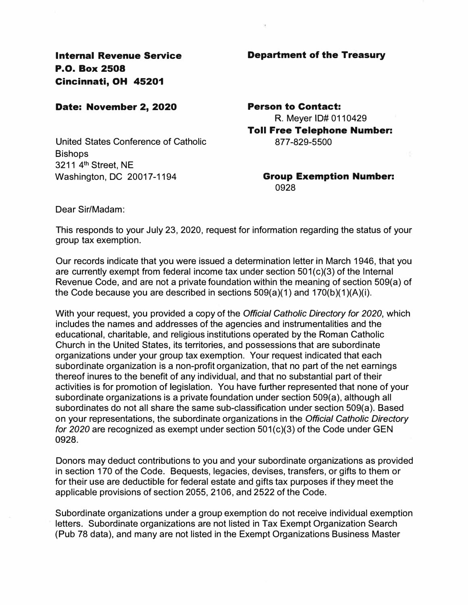**Internal Revenue Service P.O. Box 2508 Cincinnati, OH 45201** 

## **Date: November 2, 2020**

United States Conference of Catholic **Bishops** 3211 4<sup>th</sup> Street, NE Washington, DC 20017-1194

## **Department of the Treasury**

**Person to Contact:**  R. Meyer ID# 0110429

**Toll Free Telephone Number:**  8 77-829-5500

> **Group Exemption Number:**  0928

Dear Sir/Madam:

This responds to your July 23, 2020, request for information regarding the status of your group tax exemption.

Our records indicate that you were issued a determination letter in March 1946, that you are currently exempt from federal income tax under section 501(c)(3) of the Internal Revenue Code, and are not a private foundation within the meaning of section 509(a) of the Code because you are described in sections  $509(a)(1)$  and  $170(b)(1)(A)(i)$ .

With your request, you provided a copy of the *Official Catholic Directory for 2020,* which includes the names and addresses of the agencies and instrumentalities and the educational, charitable, and religious institutions operated by the Roman Catholic Church in the United States, its territories, and possessions that are subordinate organizations under your group tax exemption. Your request indicated that each subordinate organization is a non-profit organization, that no part of the net earnings thereof inures to the benefit of any individual, and that no substantial part of their activities is for promotion of legislation. You have further represented that none of your subordinate organizations is a private foundation under section 509(a), although all subordinates do not all share the same sub-classification under section 509(a). Based on your representations, the subordinate organizations in the *Official Catholic Directory for 2020* are recognized as exempt under section 501(c)(3) of the Code under GEN **0928.** 

Donors may deduct contributions to you and your subordinate organizations as provided in section 170 of the Code. Bequests, legacies, devises, transfers, or gifts to them or for their use are deductible for federal estate and gifts tax purposes if they meet the applicable provisions of section 2055, 2106, and 2522 of the Code.

Subordinate organizations under a group exemption do not receive individual exemption letters. Subordinate organizations are not listed in Tax Exempt Organization Search (Pub 78 data), and many are not listed in the Exempt Organizations Business Master